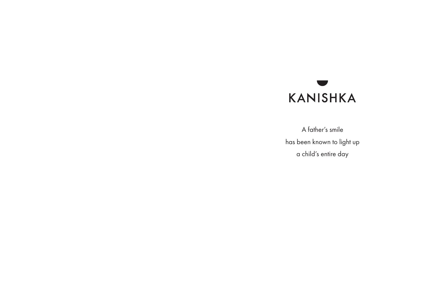

A father's smile has been known to light up a child's entire day